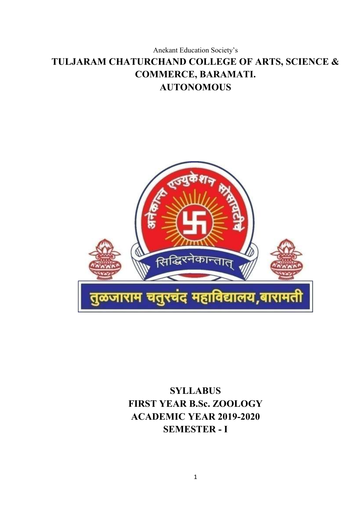# Anekant Education Society's **TULJARAM CHATURCHAND COLLEGE OF ARTS, SCIENCE & COMMERCE, BARAMATI. AUTONOMOUS**



**SYLLABUS FIRST YEAR B.Sc. ZOOLOGY ACADEMIC YEAR 2019-2020 SEMESTER - I**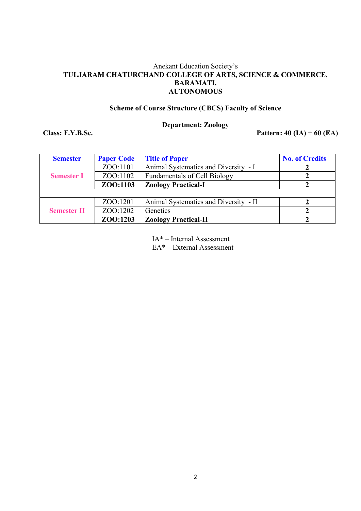## Anekant Education Society's **TULJARAM CHATURCHAND COLLEGE OF ARTS, SCIENCE & COMMERCE, BARAMATI. AUTONOMOUS**

#### **Scheme of Course Structure (CBCS) Faculty of Science**

# **Department: Zoology**

**Class: F.Y.B.Sc. Pattern: 40 (IA) + 60 (EA)**

| <b>Semester</b>    | <b>Paper Code</b> | <b>Title of Paper</b>                 | <b>No. of Credits</b> |
|--------------------|-------------------|---------------------------------------|-----------------------|
|                    | ZOO:1101          | Animal Systematics and Diversity - I  |                       |
| <b>Semester I</b>  | ZOO:1102          | <b>Fundamentals of Cell Biology</b>   |                       |
|                    | ZOO:1103          | <b>Zoology Practical-I</b>            |                       |
|                    |                   |                                       |                       |
|                    | ZOO:1201          | Animal Systematics and Diversity - II |                       |
| <b>Semester II</b> | ZOO:1202          | Genetics                              |                       |
|                    | ZOO:1203          | <b>Zoology Practical-II</b>           |                       |

IA\* – Internal Assessment

EA\* – External Assessment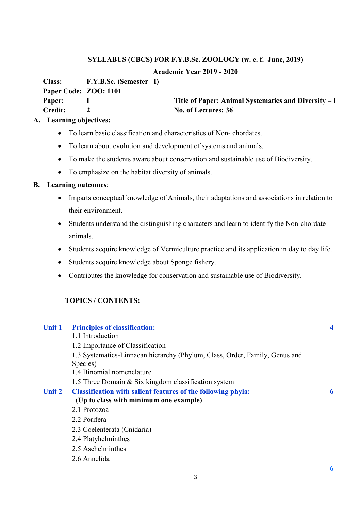#### **Academic Year 2019 - 2020**

**Class: F.Y.B.Sc. (Semester– I)**

**Paper Code: ZOO: 1101**

**Paper:** I Title of Paper: Animal Systematics and Diversity – I **Credit: 2 No. of Lectures: 36**

## **A. Learning objectives:**

- To learn basic classification and characteristics of Non-chordates.
- To learn about evolution and development of systems and animals.
- To make the students aware about conservation and sustainable use of Biodiversity.
- To emphasize on the habitat diversity of animals.

#### **B. Learning outcomes**:

- Imparts conceptual knowledge of Animals, their adaptations and associations in relation to their environment.
- Students understand the distinguishing characters and learn to identify the Non-chordate animals.
- Students acquire knowledge of Vermiculture practice and its application in day to day life.
- Students acquire knowledge about Sponge fishery.
- Contributes the knowledge for conservation and sustainable use of Biodiversity.

# **TOPICS / CONTENTS:**

#### **Unit 1 Principles of classification: 4**

1.1 Introduction 1.2 Importance of Classification 1.3 Systematics-Linnaean hierarchy (Phylum, Class, Order, Family, Genus and Species) 1.4 Binomial nomenclature 1.5 Three Domain & Six kingdom classification system **Unit 2 Classification with salient features of the following phyla: 6 (Up to class with minimum one example)** 2.1 Protozoa 2.2 Porifera 2.3 Coelenterata (Cnidaria) 2.4 Platyhelminthes 2.5 Aschelminthes 2.6 Annelida

**6**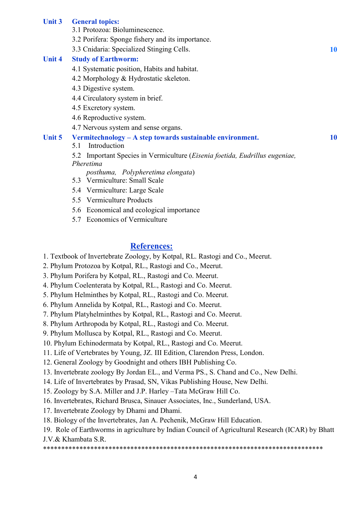#### **Unit 3 General topics:**

- 3.1 Protozoa: Bioluminescence.
- 3.2 Porifera: Sponge fishery and its importance.
- 3.3 Cnidaria: Specialized Stinging Cells. **10**

#### **Unit 4 Study of Earthworm:**

- 4.1 Systematic position, Habits and habitat.
- 4.2 Morphology & Hydrostatic skeleton.
- 4.3 Digestive system.
- 4.4 Circulatory system in brief.
- 4.5 Excretory system.
- 4.6 Reproductive system.
- 4.7 Nervous system and sense organs.

# **Unit 5 Vermitechnology – A step towards sustainable environment. 10**

5.1 Introduction

5.2 Important Species in Vermiculture (*Eisenia foetida, Eudrillus eugeniae, Pheretima*

 *posthuma, Polypheretima elongata*)

- 5.3 Vermiculture: Small Scale
- 5.4 Vermiculture: Large Scale
- 5.5 Vermiculture Products
- 5.6 Economical and ecological importance
- 5.7 Economics of Vermiculture

# **References:**

- 1. Textbook of Invertebrate Zoology, by Kotpal, RL. Rastogi and Co., Meerut.
- 2. Phylum Protozoa by Kotpal, RL., Rastogi and Co., Meerut.
- 3. Phylum Porifera by Kotpal, RL., Rastogi and Co. Meerut.
- 4. Phylum Coelenterata by Kotpal, RL., Rastogi and Co. Meerut.
- 5. Phylum Helminthes by Kotpal, RL., Rastogi and Co. Meerut.
- 6. Phylum Annelida by Kotpal, RL., Rastogi and Co. Meerut.
- 7. Phylum Platyhelminthes by Kotpal, RL., Rastogi and Co. Meerut.
- 8. Phylum Arthropoda by Kotpal, RL., Rastogi and Co. Meerut.
- 9. Phylum Mollusca by Kotpal, RL., Rastogi and Co. Meerut.
- 10. Phylum Echinodermata by Kotpal, RL., Rastogi and Co. Meerut.
- 11. Life of Vertebrates by Young, JZ. III Edition, Clarendon Press, London.
- 12. General Zoology by Goodnight and others IBH Publishing Co.
- 13. Invertebrate zoology By Jordan EL., and Verma PS., S. Chand and Co., New Delhi.
- 14. Life of Invertebrates by Prasad, SN, Vikas Publishing House, New Delhi.
- 15. Zoology by S.A. Miller and J.P. Harley –Tata McGraw Hill Co.
- 16. Invertebrates, Richard Brusca, Sinauer Associates, Inc., Sunderland, USA.
- 17. Invertebrate Zoology by Dhami and Dhami.
- 18. Biology of the Invertebrates, Jan A. Pechenik, McGraw Hill Education.

\*\*\*\*\*\*\*\*\*\*\*\*\*\*\*\*\*\*\*\*\*\*\*\*\*\*\*\*\*\*\*\*\*\*\*\*\*\*\*\*\*\*\*\*\*\*\*\*\*\*\*\*\*\*\*\*\*\*\*\*\*\*\*\*\*\*\*\*\*\*\*\*\*\*\*\*\*

<sup>19.</sup> Role of Earthworms in agriculture by Indian Council of Agricultural Research (ICAR) by Bhatt J.V.& Khambata S.R.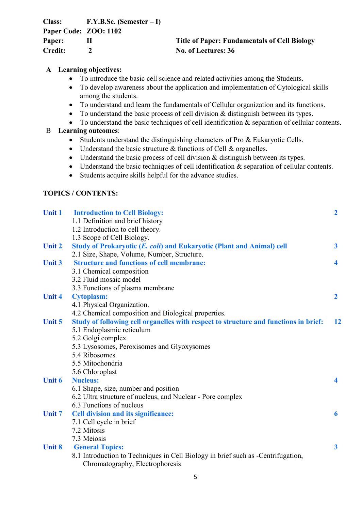| <b>Class:</b>         | $F.Y.B.Sc.$ (Semester $-I$ ) |                                                     |
|-----------------------|------------------------------|-----------------------------------------------------|
| Paper Code: ZOO: 1102 |                              |                                                     |
| Paper:                |                              | <b>Title of Paper: Fundamentals of Cell Biology</b> |
| Credit:               |                              | No. of Lectures: 36                                 |

# **A Learning objectives:**

- To introduce the basic cell science and related activities among the Students.
- To develop awareness about the application and implementation of Cytological skills among the students.
- To understand and learn the fundamentals of Cellular organization and its functions.
- To understand the basic process of cell division & distinguish between its types.
- To understand the basic techniques of cell identification & separation of cellular contents.

# B **Learning outcomes**:

- Students understand the distinguishing characters of Pro & Eukaryotic Cells.
- Understand the basic structure & functions of Cell & organelles.
- Understand the basic process of cell division & distinguish between its types.
- Understand the basic techniques of cell identification & separation of cellular contents.
- Students acquire skills helpful for the advance studies.

#### **TOPICS / CONTENTS:**

| <b>Unit 1</b> | <b>Introduction to Cell Biology:</b>                                                 | $\overline{2}$          |
|---------------|--------------------------------------------------------------------------------------|-------------------------|
|               | 1.1 Definition and brief history                                                     |                         |
|               | 1.2 Introduction to cell theory.                                                     |                         |
|               | 1.3 Scope of Cell Biology.                                                           |                         |
| <b>Unit 2</b> | Study of Prokaryotic (E. coli) and Eukaryotic (Plant and Animal) cell                | $\mathbf{3}$            |
|               | 2.1 Size, Shape, Volume, Number, Structure.                                          |                         |
| <b>Unit 3</b> | <b>Structure and functions of cell membrane:</b>                                     | $\blacktriangleleft$    |
|               | 3.1 Chemical composition                                                             |                         |
|               | 3.2 Fluid mosaic model                                                               |                         |
|               | 3.3 Functions of plasma membrane                                                     |                         |
| <b>Unit 4</b> | <b>Cytoplasm:</b>                                                                    | $\mathbf{2}$            |
|               | 4.1 Physical Organization.                                                           |                         |
|               | 4.2 Chemical composition and Biological properties.                                  |                         |
| <b>Unit 5</b> | Study of following cell organelles with respect to structure and functions in brief: | 12                      |
|               | 5.1 Endoplasmic reticulum                                                            |                         |
|               | 5.2 Golgi complex                                                                    |                         |
|               | 5.3 Lysosomes, Peroxisomes and Glyoxysomes                                           |                         |
|               | 5.4 Ribosomes                                                                        |                         |
|               | 5.5 Mitochondria                                                                     |                         |
|               | 5.6 Chloroplast                                                                      |                         |
| <b>Unit 6</b> | <b>Nucleus:</b>                                                                      | $\blacktriangleleft$    |
|               | 6.1 Shape, size, number and position                                                 |                         |
|               | 6.2 Ultra structure of nucleus, and Nuclear - Pore complex                           |                         |
|               | 6.3 Functions of nucleus                                                             |                         |
| <b>Unit 7</b> | <b>Cell division and its significance:</b>                                           | 6                       |
|               | 7.1 Cell cycle in brief                                                              |                         |
|               | 7.2 Mitosis                                                                          |                         |
|               | 7.3 Meiosis                                                                          |                         |
| <b>Unit 8</b> | <b>General Topics:</b>                                                               | $\overline{\mathbf{3}}$ |
|               | 8.1 Introduction to Techniques in Cell Biology in brief such as -Centrifugation,     |                         |
|               | Chromatography, Electrophoresis                                                      |                         |
|               |                                                                                      |                         |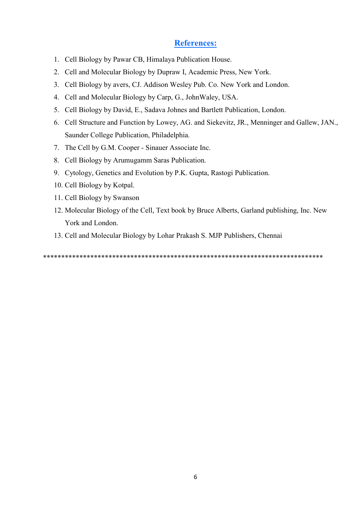# **References:**

- 1. Cell Biology by Pawar CB, Himalaya Publication House.
- 2. Cell and Molecular Biology by Dupraw I, Academic Press, New York.
- 3. Cell Biology by avers, CJ. Addison Wesley Pub. Co. New York and London.
- 4. Cell and Molecular Biology by Carp, G., JohnWaley, USA.
- 5. Cell Biology by David, E., Sadava Johnes and Bartlett Publication, London.
- 6. Cell Structure and Function by Lowey, AG. and Siekevitz, JR., Menninger and Gallew, JAN., Saunder College Publication, Philadelphia.
- 7. The Cell by G.M. Cooper Sinauer Associate Inc.
- 8. Cell Biology by Arumugamm Saras Publication.
- 9. Cytology, Genetics and Evolution by P.K. Gupta, Rastogi Publication.
- 10. Cell Biology by Kotpal.
- 11. Cell Biology by Swanson
- 12. Molecular Biology of the Cell, Text book by Bruce Alberts, Garland publishing, Inc. New York and London.
- 13. Cell and Molecular Biology by Lohar Prakash S. MJP Publishers, Chennai

\*\*\*\*\*\*\*\*\*\*\*\*\*\*\*\*\*\*\*\*\*\*\*\*\*\*\*\*\*\*\*\*\*\*\*\*\*\*\*\*\*\*\*\*\*\*\*\*\*\*\*\*\*\*\*\*\*\*\*\*\*\*\*\*\*\*\*\*\*\*\*\*\*\*\*\*\*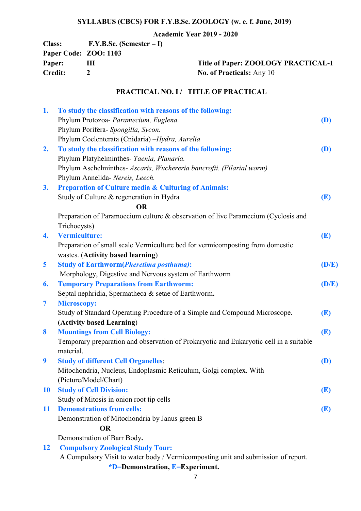# **Academic Year 2019 - 2020**

| <b>Class:</b>         | $F.Y.B.Sc.$ (Semester $-I$ ) |
|-----------------------|------------------------------|
| Paper Code: ZOO: 1103 |                              |
| Paper:                | ш                            |
| <b>Credit:</b>        | $\mathcal{L}$                |
|                       |                              |

**Paper: ZOOLOGY PRACTICAL-1 Credit: 2 No. of Practicals:** Any 10

# **PRACTICAL NO. I / TITLE OF PRACTICAL**

| 1.             | To study the classification with reasons of the following:                             |            |
|----------------|----------------------------------------------------------------------------------------|------------|
|                | Phylum Protozoa- Paramecium, Euglena.                                                  | (D)        |
|                | Phylum Porifera- Spongilla, Sycon.                                                     |            |
|                | Phylum Coelenterata (Cnidaria) - Hydra, Aurelia                                        |            |
| 2.             | To study the classification with reasons of the following:                             | (D)        |
|                | Phylum Platyhelminthes- Taenia, Planaria.                                              |            |
|                | Phylum Aschelminthes- Ascaris, Wuchereria bancrofti. (Filarial worm)                   |            |
|                | Phylum Annelida- Nereis, Leech.                                                        |            |
| 3.             | <b>Preparation of Culture media &amp; Culturing of Animals:</b>                        |            |
|                | Study of Culture & regeneration in Hydra                                               | (E)        |
|                | <b>OR</b>                                                                              |            |
|                | Preparation of Paramoecium culture & observation of live Paramecium (Cyclosis and      |            |
|                | Trichocysts)                                                                           |            |
| 4.             | <b>Vermiculture:</b>                                                                   | (E)        |
|                | Preparation of small scale Vermiculture bed for vermicomposting from domestic          |            |
|                | wastes. (Activity based learning)                                                      |            |
| 5              | <b>Study of Earthworm(Pheretima posthuma):</b>                                         | (D/E)      |
|                | Morphology, Digestive and Nervous system of Earthworm                                  |            |
| 6.             | <b>Temporary Preparations from Earthworm:</b>                                          | (D/E)      |
|                | Septal nephridia, Spermatheca & setae of Earthworm.                                    |            |
| $\overline{7}$ | <b>Microscopy:</b>                                                                     |            |
|                | Study of Standard Operating Procedure of a Simple and Compound Microscope.             | (E)        |
|                | (Activity based Learning)                                                              |            |
| 8              | <b>Mountings from Cell Biology:</b>                                                    | (E)        |
|                | Temporary preparation and observation of Prokaryotic and Eukaryotic cell in a suitable |            |
|                | material.                                                                              |            |
| 9              | <b>Study of different Cell Organelles:</b>                                             | (D)        |
|                | Mitochondria, Nucleus, Endoplasmic Reticulum, Golgi complex. With                      |            |
|                | (Picture/Model/Chart)                                                                  |            |
| <b>10</b>      | <b>Study of Cell Division:</b>                                                         | <b>(E)</b> |
|                | Study of Mitosis in onion root tip cells                                               |            |
| <b>11</b>      | <b>Demonstrations from cells:</b>                                                      | (E)        |
|                | Demonstration of Mitochondria by Janus green B                                         |            |
|                | <b>OR</b>                                                                              |            |
|                | Demonstration of Barr Body.                                                            |            |
| <b>12</b>      | <b>Compulsory Zoological Study Tour:</b>                                               |            |
|                | A Compulsory Visit to water body / Vermicomposting unit and submission of report.      |            |
|                |                                                                                        |            |

 **\*D=Demonstration, E=Experiment.**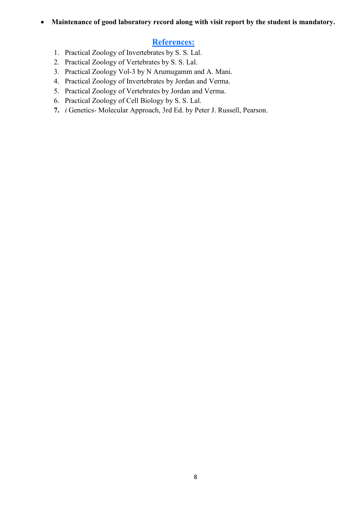### **Maintenance of good laboratory record along with visit report by the student is mandatory.**

# **References:**

- 1. Practical Zoology of Invertebrates by S. S. Lal.
- 2. Practical Zoology of Vertebrates by S. S. Lal.
- 3. Practical Zoology Vol-3 by N Arumugamm and A. Mani.
- 4. Practical Zoology of Invertebrates by Jordan and Verma.
- 5. Practical Zoology of Vertebrates by Jordan and Verma.
- 6. Practical Zoology of Cell Biology by S. S. Lal.
- **7.** *i* Genetics- Molecular Approach, 3rd Ed. by Peter J. Russell, Pearson.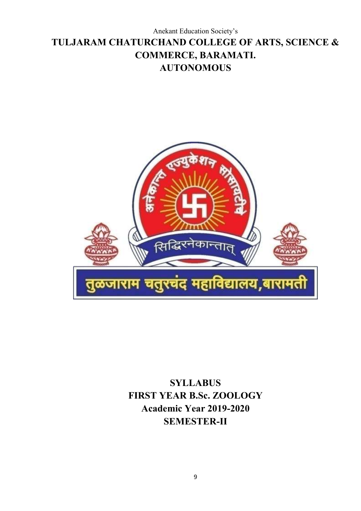# Anekant Education Society's **TULJARAM CHATURCHAND COLLEGE OF ARTS, SCIENCE & COMMERCE, BARAMATI. AUTONOMOUS**



**SYLLABUS FIRST YEAR B.Sc. ZOOLOGY Academic Year 2019-2020 SEMESTER-II**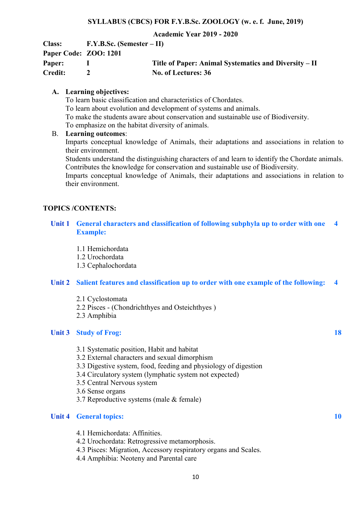#### **Academic Year 2019 - 2020**

| <b>Class:</b>         | $F.Y.B.Sc.$ (Semester – II) |                                                       |
|-----------------------|-----------------------------|-------------------------------------------------------|
| Paper Code: ZOO: 1201 |                             |                                                       |
| Paper:                |                             | Title of Paper: Animal Systematics and Diversity – II |
| <b>Credit:</b>        |                             | No. of Lectures: 36                                   |

#### **A. Learning objectives:**

To learn basic classification and characteristics of Chordates. To learn about evolution and development of systems and animals. To make the students aware about conservation and sustainable use of Biodiversity. To emphasize on the habitat diversity of animals.

#### B. **Learning outcomes**:

Imparts conceptual knowledge of Animals, their adaptations and associations in relation to their environment.

Students understand the distinguishing characters of and learn to identify the Chordate animals. Contributes the knowledge for conservation and sustainable use of Biodiversity.

Imparts conceptual knowledge of Animals, their adaptations and associations in relation to their environment.

# **TOPICS /CONTENTS:**

- **Unit 1 General characters and classification of following subphyla up to order with one Example: 4**
	- 1.1 Hemichordata

1.2 Urochordata

1.3 Cephalochordata

#### **Unit 2 Salient features and classification up to order with one example of the following: 4**

- 2.1 Cyclostomata
- 2.2 Pisces (Chondrichthyes and Osteichthyes )
- 2.3 Amphibia

#### **Unit 3 Study of Frog: 18**

- 3.1 Systematic position, Habit and habitat
- 3.2 External characters and sexual dimorphism
- 3.3 Digestive system, food, feeding and physiology of digestion
- 3.4 Circulatory system (lymphatic system not expected)
- 3.5 Central Nervous system
- 3.6 Sense organs
- 3.7 Reproductive systems (male & female)

#### **Unit 4 General topics: 10**

- 4.1 Hemichordata: Affinities.
- 4.2 Urochordata: Retrogressive metamorphosis.
- 4.3 Pisces: Migration, Accessory respiratory organs and Scales.
- 4.4 Amphibia: Neoteny and Parental care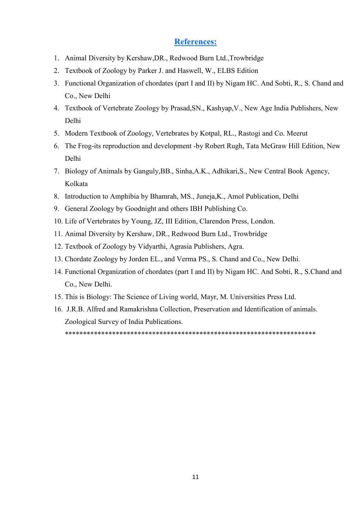# **References:**

- 1. Animal Diversity by Kershaw,DR., Redwood Burn Ltd.,Trowbridge
- 2. Textbook of Zoology by Parker J. and Haswell, W., ELBS Edition
- 3. Functional Organization of chordates (part I and II) by Nigam HC. And Sobti, R., S. Chand and Co., New Delhi
- 4. Textbook of Vertebrate Zoology by Prasad,SN., Kashyap,V., New Age India Publishers, New Delhi
- 5. Modern Textbook of Zoology, Vertebrates by Kotpal, RL., Rastogi and Co. Meerut
- 6. The Frog-its reproduction and development -by Robert Rugh, Tata McGraw Hill Edition, New Delhi
- 7. Biology of Animals by Ganguly,BB., Sinha,A.K., Adhikari,S., New Central Book Agency, Kolkata
- 8. Introduction to Amphibia by Bhamrah, MS., Juneja,K., Amol Publication, Delhi
- 9. General Zoology by Goodnight and others IBH Publishing Co.
- 10. Life of Vertebrates by Young, JZ, III Edition, Clarendon Press, London.
- 11. Animal Diversity by Kershaw, DR., Redwood Burn Ltd., Trowbridge
- 12. Textbook of Zoology by Vidyarthi, Agrasia Publishers, Agra.
- 13. Chordate Zoology by Jorden EL., and Verma PS., S. Chand and Co., New Delhi.
- 14. Functional Organization of chordates (part I and II) by Nigam HC. And Sobti, R., S.Chand and Co., New Delhi.
- 15. This is Biology: The Science of Living world, Mayr, M. Universities Press Ltd.
- 16. J.R.B. Alfred and Ramakrishna Collection, Preservation and Identification of animals. Zoological Survey of India Publications.

\*\*\*\*\*\*\*\*\*\*\*\*\*\*\*\*\*\*\*\*\*\*\*\*\*\*\*\*\*\*\*\*\*\*\*\*\*\*\*\*\*\*\*\*\*\*\*\*\*\*\*\*\*\*\*\*\*\*\*\*\*\*\*\*\*\*\*\*\*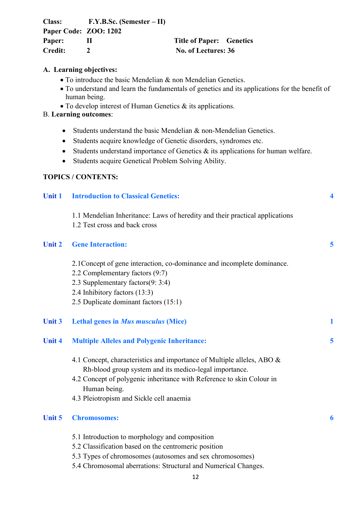| <b>Class:</b>         | $F.Y.B.Sc.$ (Semester $-II$ ) |                                 |  |
|-----------------------|-------------------------------|---------------------------------|--|
| Paper Code: ZOO: 1202 |                               |                                 |  |
| Paper:                |                               | <b>Title of Paper: Genetics</b> |  |
| <b>Credit:</b>        |                               | No. of Lectures: 36             |  |

#### **A. Learning objectives:**

- To introduce the basic Mendelian & non Mendelian Genetics.
- To understand and learn the fundamentals of genetics and its applications for the benefit of human being.
- To develop interest of Human Genetics & its applications.

# B. **Learning outcomes**:

- Students understand the basic Mendelian & non-Mendelian Genetics.
- Students acquire knowledge of Genetic disorders, syndromes etc.
- Students understand importance of Genetics  $\&$  its applications for human welfare.
- Students acquire Genetical Problem Solving Ability.

# **TOPICS / CONTENTS:**

| <b>Unit 1</b> | <b>Introduction to Classical Genetics:</b>                                                                                                                                                                                           | $\overline{\mathbf{4}}$ |
|---------------|--------------------------------------------------------------------------------------------------------------------------------------------------------------------------------------------------------------------------------------|-------------------------|
|               | 1.1 Mendelian Inheritance: Laws of heredity and their practical applications<br>1.2 Test cross and back cross                                                                                                                        |                         |
| <b>Unit 2</b> | <b>Gene Interaction:</b>                                                                                                                                                                                                             | 5                       |
|               | 2.1 Concept of gene interaction, co-dominance and incomplete dominance.<br>2.2 Complementary factors (9:7)<br>2.3 Supplementary factors(9: 3:4)                                                                                      |                         |
|               | 2.4 Inhibitory factors (13:3)<br>2.5 Duplicate dominant factors (15:1)                                                                                                                                                               |                         |
| <b>Unit 3</b> | <b>Lethal genes in Mus musculus (Mice)</b>                                                                                                                                                                                           | 1                       |
| <b>Unit 4</b> | <b>Multiple Alleles and Polygenic Inheritance:</b>                                                                                                                                                                                   | 5                       |
|               | 4.1 Concept, characteristics and importance of Multiple alleles, ABO &<br>Rh-blood group system and its medico-legal importance.<br>4.2 Concept of polygenic inheritance with Reference to skin Colour in<br>Human being.            |                         |
|               | 4.3 Pleiotropism and Sickle cell anaemia                                                                                                                                                                                             |                         |
| Unit 5        | <b>Chromosomes:</b>                                                                                                                                                                                                                  | 6                       |
|               | 5.1 Introduction to morphology and composition<br>5.2 Classification based on the centromeric position<br>5.3 Types of chromosomes (autosomes and sex chromosomes)<br>5.4 Chromosomal aberrations: Structural and Numerical Changes. |                         |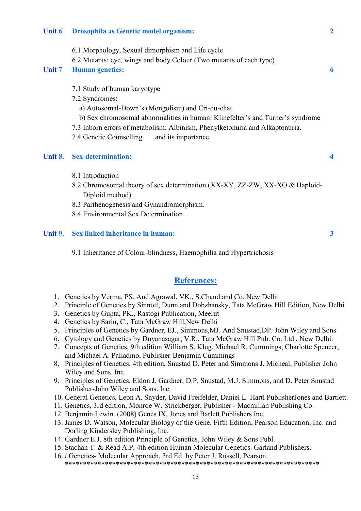#### **Unit 6 Drosophila as Genetic model organism: 2**

- 6.1 Morphology, Sexual dimorphism and Life cycle.
- 6.2 Mutants: eye, wings and body Colour (Two mutants of each type)

#### **Unit 7 Human genetics: 6**

- 7.1 Study of human karyotype
- 7.2 Syndromes:
	- a) Autosomal-Down's (Mongolism) and Cri-du-chat.
	- b) Sex chromosomal abnormalities in human: Klinefelter's and Turner's syndrome
- 7.3 Inborn errors of metabolism: Albinism, Phenylketonuria and Alkaptonuria.
- 7.4 Genetic Counselling and its importance

#### **Unit 8. Sex-determination: 4**

- 8.1 Introduction
- 8.2 Chromosomal theory of sex determination (XX-XY, ZZ-ZW, XX-XO & Haploid- Diploid method)
- 8.3 Parthenogenesis and Gynandromorphism.
- 8.4 Environmental Sex Determination

#### **Unit 9. Sex linked inheritance in human: 3**

9.1 Inheritance of Colour-blindness, Haemophilia and Hypertrichosis

# **References:**

- 1. Genetics by Verma, PS. And Agrawal, VK., S.Chand and Co. New Delhi
- 2. Principle of Genetics by Sinnott, Dunn and Dobzhansky, Tata McGraw Hill Edition, New Delhi
- 3. Genetics by Gupta, PK., Rastogi Publication, Meerut
- 4. Genetics by Sarin, C., Tata McGraw Hill,New Delhi
- 5. Principles of Genetics by Gardner, EJ., Simmons,MJ. And Snustad,DP. John Wiley and Sons
- 6. Cytology and Genetics by Dnyanasagar, V.R., Tata McGraw Hill Pub. Co. Ltd., New Delhi.
- 7. Concepts of Genetics, 9th edition William S. Klug, Michael R. Cummings, Charlotte Spencer, and Michael A. Palladino, Publisher-Benjamin Cummings
- 8. Principles of Genetics, 4th edition, Snustad D. Peter and Simmons J. Micheal, Publisher John Wiley and Sons. Inc.
- 9. Principles of Genetics, Eldon J. Gardner, D.P. Snustad, M.J. Simmons, and D. Peter Snustad Publisher-John Wiley and Sons. Inc.
- 10. General Genetics, Leon A. Snyder, David Freifelder, Daniel L. Hartl PublisherJones and Bartlett.
- 11. Genetics, 3rd edition, Monroe W. Strickberger, Publisher Macmillan Publishing Co.
- 12. Benjamin Lewin. (2008) Genes IX, Jones and Barlett Publishers Inc.
- 13. James D. Watson, Molecular Biology of the Gene, Fifth Edition, Pearson Education, Inc. and Dorling Kindersley Publishing, Inc.
- 14. Gardner E.J. 8th edition Principle of Genetics, John Wiley & Sons Publ.
- 15. Stachan T. & Read A.P. 4th edition Human Molecular Genetics. Garland Publishers.
- 16. *i* Genetics- Molecular Approach, 3rd Ed. by Peter J. Russell, Pearson. \*\*\*\*\*\*\*\*\*\*\*\*\*\*\*\*\*\*\*\*\*\*\*\*\*\*\*\*\*\*\*\*\*\*\*\*\*\*\*\*\*\*\*\*\*\*\*\*\*\*\*\*\*\*\*\*\*\*\*\*\*\*\*\*\*\*\*\*\*\*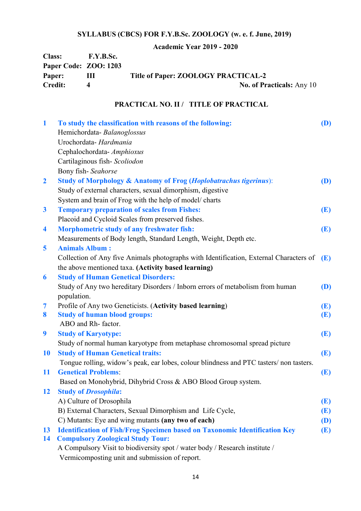**Academic Year 2019 - 2020**

| <b>Class:</b>         | <b>F.Y.B.Sc.</b> |                                     |
|-----------------------|------------------|-------------------------------------|
| Paper Code: ZOO: 1203 |                  |                                     |
| Paper:                | Ш                | Title of Paper: ZOOLOGY PRACTICAL-2 |
| <b>Credit:</b>        |                  | <b>No. of Practicals:</b> Any 10    |

# **PRACTICAL NO. II / TITLE OF PRACTICAL**

| $\mathbf{1}$     | To study the classification with reasons of the following:                             | <b>(D)</b> |
|------------------|----------------------------------------------------------------------------------------|------------|
|                  | Hemichordata-Balanoglossus                                                             |            |
|                  | Urochordata- Hardmania                                                                 |            |
|                  | Cephalochordata- Amphioxus                                                             |            |
|                  | Cartilaginous fish-Scoliodon                                                           |            |
|                  | Bony fish-Seahorse                                                                     |            |
| $\overline{2}$   | <b>Study of Morphology &amp; Anatomy of Frog (Hoplobatrachus tigerinus):</b>           | <b>(D)</b> |
|                  | Study of external characters, sexual dimorphism, digestive                             |            |
|                  | System and brain of Frog with the help of model/ charts                                |            |
| $\boldsymbol{3}$ | <b>Temporary preparation of scales from Fishes:</b>                                    | <b>(E)</b> |
|                  | Placoid and Cycloid Scales from preserved fishes.                                      |            |
| 4                | Morphometric study of any freshwater fish:                                             | (E)        |
|                  | Measurements of Body length, Standard Length, Weight, Depth etc.                       |            |
| 5                | <b>Animals Album:</b>                                                                  |            |
|                  | Collection of Any five Animals photographs with Identification, External Characters of | <b>(E)</b> |
|                  | the above mentioned taxa. (Activity based learning)                                    |            |
| 6                | <b>Study of Human Genetical Disorders:</b>                                             |            |
|                  | Study of Any two hereditary Disorders / Inborn errors of metabolism from human         | (D)        |
|                  | population.                                                                            |            |
| 7                | Profile of Any two Geneticists. (Activity based learning)                              | (E)        |
| 8                | <b>Study of human blood groups:</b>                                                    | (E)        |
|                  | ABO and Rh-factor.                                                                     |            |
| 9                | <b>Study of Karyotype:</b>                                                             | (E)        |
|                  | Study of normal human karyotype from metaphase chromosomal spread picture              |            |
| <b>10</b>        | <b>Study of Human Genetical traits:</b>                                                | (E)        |
|                  | Tongue rolling, widow's peak, ear lobes, colour blindness and PTC tasters/non tasters. |            |
| <b>11</b>        | <b>Genetical Problems:</b>                                                             | (E)        |
|                  | Based on Monohybrid, Dihybrid Cross & ABO Blood Group system.                          |            |
| 12               | <b>Study of Drosophila:</b>                                                            |            |
|                  | A) Culture of Drosophila                                                               | <b>(E)</b> |
|                  | B) External Characters, Sexual Dimorphism and Life Cycle,                              | <b>(E)</b> |
|                  | C) Mutants: Eye and wing mutants (any two of each)                                     | <b>(D)</b> |
| 13               | <b>Identification of Fish/Frog Specimen based on Taxonomic Identification Key</b>      | (E)        |
| 14               | <b>Compulsory Zoological Study Tour:</b>                                               |            |
|                  | A Compulsory Visit to biodiversity spot / water body / Research institute /            |            |
|                  | Vermicomposting unit and submission of report.                                         |            |
|                  |                                                                                        |            |